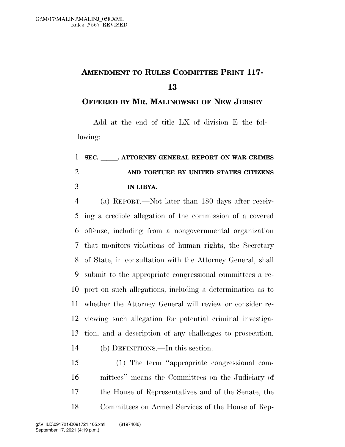## **AMENDMENT TO RULES COMMITTEE PRINT 117-**

**OFFERED BY MR. MALINOWSKI OF NEW JERSEY**

Add at the end of title LX of division E the following:

## 1 SEC. ATTORNEY GENERAL REPORT ON WAR CRIMES **AND TORTURE BY UNITED STATES CITIZENS IN LIBYA.**

 (a) REPORT.—Not later than 180 days after receiv- ing a credible allegation of the commission of a covered offense, including from a nongovernmental organization that monitors violations of human rights, the Secretary of State, in consultation with the Attorney General, shall submit to the appropriate congressional committees a re- port on such allegations, including a determination as to whether the Attorney General will review or consider re- viewing such allegation for potential criminal investiga- tion, and a description of any challenges to prosecution. (b) DEFINITIONS.—In this section:

 (1) The term ''appropriate congressional com- mittees'' means the Committees on the Judiciary of the House of Representatives and of the Senate, the Committees on Armed Services of the House of Rep